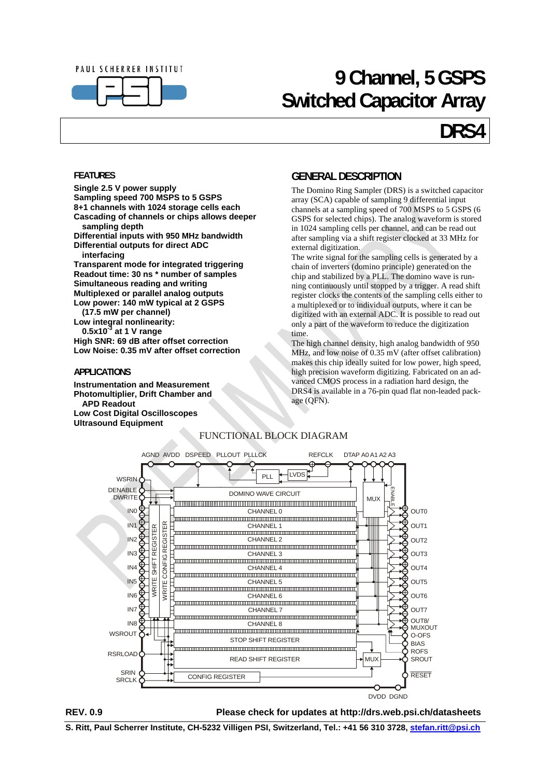

## **9 Channel, 5 GSPS Switched Capacitor Array**

## **DRS4**

#### <span id="page-0-0"></span>**FEATURES**

**Single 2.5 V power supply Sampling speed 700 MSPS to 5 GSPS 8+1 channels with 1024 storage cells each Cascading of channels or chips allows deeper sampling depth Differential inputs with 950 MHz bandwidth** 

**Differential outputs for direct ADC interfacing** 

**Transparent mode for integrated triggering Readout time: 30 ns \* number of samples Simultaneous reading and writing Multiplexed or parallel analog outputs Low power: 140 mW typical at 2 GSPS (17.5 mW per channel)** 

**Low integral nonlinearity: 0.5x10-3 at 1 V range High SNR: 69 dB after offset correction Low Noise: 0.35 mV after offset correction** 

#### <span id="page-0-1"></span>**APPLICATIONS**

**Instrumentation and Measurement Photomultiplier, Drift Chamber and APD Readout Low Cost Digital Oscilloscopes Ultrasound Equipment** 

### **GENERAL DESCRIPTION**

The Domino Ring Sampler (DRS) is a switched capacitor array (SCA) capable of sampling 9 differential input channels at a sampling speed of 700 MSPS to 5 GSPS (6 GSPS for selected chips). The analog waveform is stored in 1024 sampling cells per channel, and can be read out after sampling via a shift register clocked at 33 MHz for external digitization.

The write signal for the sampling cells is generated by a chain of inverters (domino principle) generated on the chip and stabilized by a PLL. The domino wave is running continuously until stopped by a trigger. A read shift register clocks the contents of the sampling cells either to a multiplexed or to individual outputs, where it can be digitized with an external ADC. It is possible to read out only a part of the waveform to reduce the digitization time.

The high channel density, high analog bandwidth of 950 MHz, and low noise of 0.35 mV (after offset calibration) makes this chip ideally suited for low power, high speed, high precision waveform digitizing. Fabricated on an advanced CMOS process in a radiation hard design, the DRS4 is available in a 76-pin quad flat non-leaded package (QFN).





**REV. 0.9 Please check for updates at http://drs.web.psi.ch/datasheets** 

**S. Ritt, Paul Scherrer Institute, CH-5232 Villigen PSI, Switzerland, Tel.: +41 56 310 3728, stefan.ritt@psi.ch**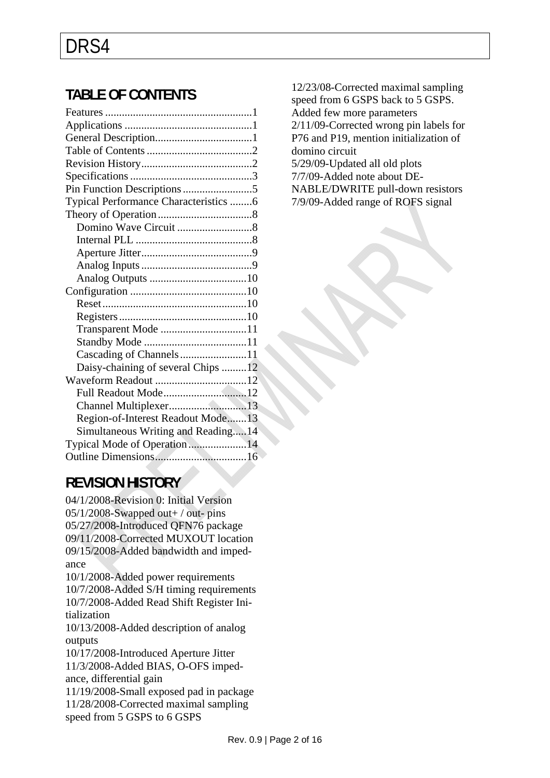### <span id="page-1-0"></span>**TABLE OF CONTENTS**

| Typical Performance Characteristics 6 |  |
|---------------------------------------|--|
|                                       |  |
|                                       |  |
|                                       |  |
|                                       |  |
|                                       |  |
|                                       |  |
|                                       |  |
|                                       |  |
|                                       |  |
| Transparent Mode 11                   |  |
|                                       |  |
| Cascading of Channels11               |  |
| Daisy-chaining of several Chips 12    |  |
|                                       |  |
| Full Readout Mode12                   |  |
| Channel Multiplexer13                 |  |
| Region-of-Interest Readout Mode13     |  |
| Simultaneous Writing and Reading14    |  |
| Typical Mode of Operation14           |  |
|                                       |  |
| the control of the control of         |  |

<span id="page-1-1"></span>**REVISION HISTORY** 

04/1/2008-Revision 0: Initial Version  $05/1/2008$ -Swapped out + / out- pins 05/27/2008-Introduced QFN76 package 09/11/2008-Corrected MUXOUT location 09/15/2008-Added bandwidth and impedance 10/1/2008-Added power requirements 10/7/2008-Added S/H timing requirements 10/7/2008-Added Read Shift Register Initialization 10/13/2008-Added description of analog outputs 10/17/2008-Introduced Aperture Jitter 11/3/2008-Added BIAS, O-OFS impedance, differential gain 11/19/2008-Small exposed pad in package 11/28/2008-Corrected maximal sampling

speed from 5 GSPS to 6 GSPS

12/23/08-Corrected maximal sampling speed from 6 GSPS back to 5 GSPS. Added few more parameters 2/11/09-Corrected wrong pin labels for P76 and P19, mention initialization of domino circuit 5/29/09-Updated all old plots 7/7/09-Added note about DE-NABLE/DWRITE pull-down resistors 7/9/09-Added range of ROFS signal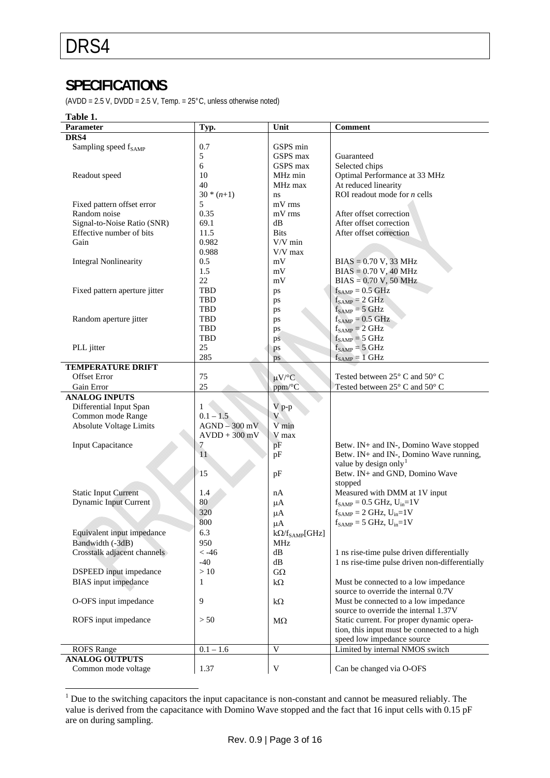### <span id="page-2-0"></span>**SPECIFICATIONS**

(AVDD =  $2.5$  V, DVDD =  $2.5$  V, Temp. =  $25^{\circ}$ C, unless otherwise noted)

#### **Table 1.**

| Parameter                        | Typ.            | Unit                        | <b>Comment</b>                                                                            |
|----------------------------------|-----------------|-----------------------------|-------------------------------------------------------------------------------------------|
| DRS4                             |                 |                             |                                                                                           |
| Sampling speed f <sub>SAMP</sub> | 0.7             | GSPS min                    |                                                                                           |
|                                  | 5               | GSPS max                    | Guaranteed                                                                                |
|                                  | 6               | GSPS max                    | Selected chips                                                                            |
| Readout speed                    | 10              | MHz min                     | Optimal Performance at 33 MHz                                                             |
|                                  | 40              | MHz max                     | At reduced linearity                                                                      |
|                                  | $30 * (n+1)$    | ns                          | ROI readout mode for $n$ cells                                                            |
| Fixed pattern offset error       | 5               | mV rms                      |                                                                                           |
| Random noise                     | 0.35            | mV rms                      | After offset correction                                                                   |
| Signal-to-Noise Ratio (SNR)      | 69.1            | dB                          | After offset correction                                                                   |
| Effective number of bits         | 11.5            | <b>Bits</b>                 | After offset correction                                                                   |
| Gain                             | 0.982           | $V/V$ min                   |                                                                                           |
|                                  | 0.988           | $\mathrm{V}/\mathrm{V}$ max |                                                                                           |
| <b>Integral Nonlinearity</b>     | 0.5             | mV                          | $BIAS = 0.70 V$ , 33 MHz                                                                  |
|                                  | 1.5             | mV                          | $BIAS = 0.70 V, 40 MHz$                                                                   |
|                                  | 22              | mV                          | $BIAS = 0.70 V, 50 MHz$                                                                   |
| Fixed pattern aperture jitter    | TBD             | ps                          | $f_{SAMP} = 0.5$ GHz                                                                      |
|                                  | <b>TBD</b>      |                             | $f_{SAMP} = 2 GHz$                                                                        |
|                                  | TBD             | ps                          | $f_{SAMP} = 5 GHz$                                                                        |
| Random aperture jitter           | TBD             | ps                          | $f_{SAMP} = 0.5 \text{ GHz}$                                                              |
|                                  | TBD             | ps                          | $f_{SAMP} = 2 \text{ GHz}$                                                                |
|                                  | TBD             | ps                          |                                                                                           |
|                                  | 25              | ps                          | $f_{SAMP} = 5 GHz$                                                                        |
| PLL jitter                       | 285             | ps                          | $f_{SAMP} = 5 GHz$                                                                        |
|                                  |                 | ps                          | $f_{SAMP} = 1 \text{ GHz}$                                                                |
| <b>TEMPERATURE DRIFT</b>         |                 |                             |                                                                                           |
| <b>Offset Error</b>              | 75              | $\mu V$ <sup>o</sup> C      | Tested between 25° C and 50° C                                                            |
| Gain Error                       | 25              | ppm/°C                      | Tested between 25° C and 50° C                                                            |
| <b>ANALOG INPUTS</b>             |                 |                             |                                                                                           |
| Differential Input Span          | $\mathbf{1}$    | $V$ p-p                     |                                                                                           |
| Common mode Range                | $0.1 - 1.5$     | V                           |                                                                                           |
| <b>Absolute Voltage Limits</b>   | $AGND - 300$ mV | V min                       |                                                                                           |
|                                  | $AVDD + 300$ mV | V max                       |                                                                                           |
| <b>Input Capacitance</b>         | 7               | pF                          | Betw. IN+ and IN-, Domino Wave stopped                                                    |
|                                  | 11              | pF                          | Betw. IN+ and IN-, Domino Wave running,                                                   |
|                                  |                 |                             | value by design only <sup>1</sup>                                                         |
|                                  | 15              | pF                          | Betw. IN+ and GND, Domino Wave                                                            |
|                                  |                 |                             | stopped                                                                                   |
| <b>Static Input Current</b>      | 1.4             | nA                          | Measured with DMM at 1V input                                                             |
| <b>Dynamic Input Current</b>     | 80              | $\mu A$                     | $f_{SAMP} = 0.5 \text{ GHz}, U_{in} = 1 \text{ V}$                                        |
|                                  | 320             | $\mu A$                     | $f_{SAMP} = 2 \text{ GHz}, U_{in} = 1 \text{ V}$                                          |
|                                  | 800             | $\mu A$                     | $f_{SAMP} = 5 \text{ GHz}, U_{in} = 1 \text{ V}$                                          |
| Equivalent input impedance       | 6.3             | $k\Omega/f_{\rm SAMP}[GHz]$ |                                                                                           |
| Bandwidth (-3dB)                 | 950             | MHz                         |                                                                                           |
| Crosstalk adjacent channels      | $< -46$         | dB                          | 1 ns rise-time pulse driven differentially                                                |
|                                  | $-40$           | dB                          | 1 ns rise-time pulse driven non-differentially                                            |
| <b>DSPEED</b> input impedance    | >10             | $G\Omega$                   |                                                                                           |
| <b>BIAS</b> input impedance      | 1               | $k\Omega$                   | Must be connected to a low impedance                                                      |
|                                  |                 |                             | source to override the internal 0.7V                                                      |
| O-OFS input impedance            | 9               |                             | Must be connected to a low impedance                                                      |
|                                  |                 | $k\Omega$                   | source to override the internal 1.37V                                                     |
|                                  | > 50            |                             |                                                                                           |
| ROFS input impedance             |                 | $M\Omega$                   | Static current. For proper dynamic opera-<br>tion, this input must be connected to a high |
|                                  |                 |                             |                                                                                           |
| <b>ROFS</b> Range                | $0.1 - 1.6$     | V                           | speed low impedance source<br>Limited by internal NMOS switch                             |
|                                  |                 |                             |                                                                                           |
| <b>ANALOG OUTPUTS</b>            |                 |                             |                                                                                           |
| Common mode voltage              | 1.37            | V                           | Can be changed via O-OFS                                                                  |

<span id="page-2-1"></span><sup>&</sup>lt;sup>1</sup> Due to the switching capacitors the input capacitance is non-constant and cannot be measured reliably. The value is derived from the capacitance with Domino Wave stopped and the fact that 16 input cells with 0.15 pF are on during sampling.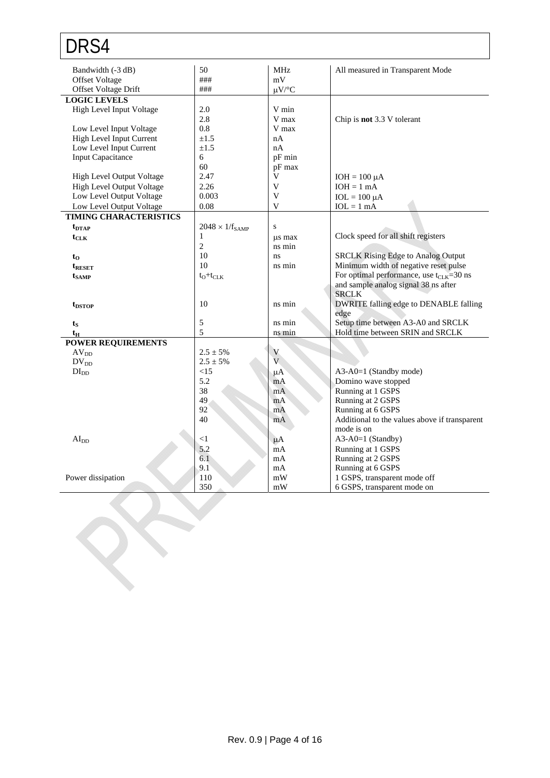| DRS4                          |                          |                |                                                      |
|-------------------------------|--------------------------|----------------|------------------------------------------------------|
| Bandwidth (-3 dB)             | 50                       | <b>MHz</b>     | All measured in Transparent Mode                     |
| <b>Offset Voltage</b>         | ###                      | mV             |                                                      |
| Offset Voltage Drift          | ###                      | $\mu V$ /°C    |                                                      |
| <b>LOGIC LEVELS</b>           |                          |                |                                                      |
| High Level Input Voltage      | 2.0                      | V min          |                                                      |
|                               | 2.8                      | V max          | Chip is not 3.3 V tolerant                           |
| Low Level Input Voltage       | 0.8                      | V max          |                                                      |
| High Level Input Current      | $+1.5$                   | nA             |                                                      |
| Low Level Input Current       | $\pm 1.5$                | nA             |                                                      |
| <b>Input Capacitance</b>      | 6                        | pF min         |                                                      |
|                               | 60                       | pF max         |                                                      |
| High Level Output Voltage     | 2.47                     | V              | $IOH = 100 \mu A$                                    |
| High Level Output Voltage     | 2.26                     | V              | $IOH = 1 mA$                                         |
| Low Level Output Voltage      | 0.003                    | V              | $IOL = 100 \mu A$                                    |
| Low Level Output Voltage      | 0.08                     | V              | $IOL = 1 mA$                                         |
| <b>TIMING CHARACTERISTICS</b> |                          |                |                                                      |
| $t_{\text{DTAP}}$             | $2048 \times 1/f_{SAMP}$ | S              |                                                      |
| $t_{\rm CLK}$                 | $\mathbf{1}$             | us max         | Clock speed for all shift registers                  |
|                               | $\overline{2}$           | ns min         |                                                      |
| $t_{0}$                       | 10                       | ns             | <b>SRCLK Rising Edge to Analog Output</b>            |
| t <sub>reset</sub>            | 10                       | ns min         | Minimum width of negative reset pulse                |
| $t_{\rm SAMP}$                | $t_0 + t_{CLK}$          |                | For optimal performance, use $t_{\text{CLK}}$ =30 ns |
|                               |                          |                | and sample analog signal 38 ns after                 |
|                               |                          |                | <b>SRCLK</b>                                         |
| $t_{\text{DSTOP}}$            | 10                       | ns min         | DWRITE falling edge to DENABLE falling               |
|                               |                          |                | edge                                                 |
| $t_{\rm S}$                   | 5                        | ns min         | Setup time between A3-A0 and SRCLK                   |
| $t_{\rm H}$                   | 5                        | ns min         | Hold time between SRIN and SRCLK                     |
| <b>POWER REQUIREMENTS</b>     |                          |                |                                                      |
| AV <sub>DD</sub>              | $2.5 \pm 5\%$            | V              |                                                      |
| $DV_{DD}$                     | $2.5 \pm 5\%$            | $\overline{V}$ |                                                      |
| DI <sub>DD</sub>              | <15                      | $\mu A$        | A3-A0=1 (Standby mode)                               |
|                               | 5.2                      | mA             | Domino wave stopped                                  |
|                               | 38                       | mA             | Running at 1 GSPS                                    |
|                               | 49                       | mA             | Running at 2 GSPS                                    |
|                               | 92                       | mA             | Running at 6 GSPS                                    |
|                               | 40                       | mA             | Additional to the values above if transparent        |
|                               |                          |                | mode is on                                           |
| AI <sub>DD</sub>              | <1                       | $\mu A$        | A3-A0=1 (Standby)                                    |
|                               | 5.2                      | mA             | Running at 1 GSPS                                    |
|                               | 6.1                      | mA             | Running at 2 GSPS                                    |
|                               | 9.1                      | mA             | Running at 6 GSPS                                    |
| Power dissipation             | 110                      | mW             | 1 GSPS, transparent mode off                         |
|                               | 350                      | mW             | 6 GSPS, transparent mode on                          |

R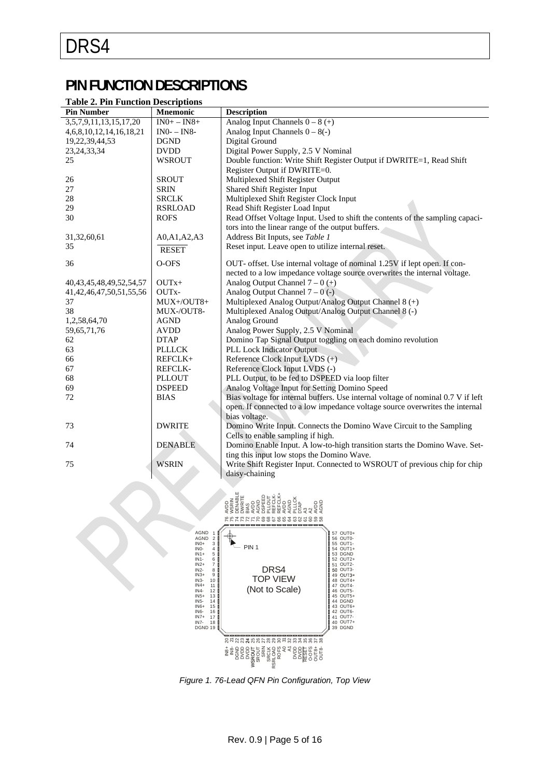### **PIN FUNCTION DESCRIPTIONS**

#### <span id="page-4-0"></span>**Table 2. Pin Function Descriptions**

| <b>Pin Number</b>               | <b>Mnemonic</b> | <b>Description</b>                                                               |
|---------------------------------|-----------------|----------------------------------------------------------------------------------|
| 3, 5, 7, 9, 11, 13, 15, 17, 20  | $IN0+ - IN8+$   | Analog Input Channels $0 - 8 (+)$                                                |
| 4, 6, 8, 10, 12, 14, 16, 18, 21 | $IN0-IN8-$      | Analog Input Channels $0 - 8(-)$                                                 |
| 19, 22, 39, 44, 53              | <b>DGND</b>     | Digital Ground                                                                   |
| 23, 24, 33, 34                  | <b>DVDD</b>     | Digital Power Supply, 2.5 V Nominal                                              |
| 25                              | <b>WSROUT</b>   | Double function: Write Shift Register Output if DWRITE=1, Read Shift             |
|                                 |                 | Register Output if DWRITE=0.                                                     |
| 26                              | <b>SROUT</b>    | Multiplexed Shift Register Output                                                |
| 27                              | <b>SRIN</b>     | Shared Shift Register Input                                                      |
| 28                              | <b>SRCLK</b>    | Multiplexed Shift Register Clock Input                                           |
| 29                              | <b>RSRLOAD</b>  | Read Shift Register Load Input                                                   |
| 30                              | <b>ROFS</b>     | Read Offset Voltage Input. Used to shift the contents of the sampling capaci-    |
|                                 |                 | tors into the linear range of the output buffers.                                |
| 31,32,60,61                     | A0, A1, A2, A3  | Address Bit Inputs, see Table 1                                                  |
| 35                              | <b>RESET</b>    | Reset input. Leave open to utilize internal reset.                               |
|                                 |                 |                                                                                  |
| 36                              | O-OFS           | OUT- offset. Use internal voltage of nominal 1.25V if lept open. If con-         |
|                                 |                 | nected to a low impedance voltage source overwrites the internal voltage.        |
| 40, 43, 45, 48, 49, 52, 54, 57  | $OUTx+$         | Analog Output Channel $7-0$ ( $\pm$ )                                            |
| 41, 42, 46, 47, 50, 51, 55, 56  | OUTx-           | Analog Output Channel $7 - 0$ (-)                                                |
| 37                              | MUX+/OUT8+      | Multiplexed Analog Output/Analog Output Channel 8 (+)                            |
| 38                              | MUX-/OUT8-      | Multiplexed Analog Output/Analog Output Channel 8 (-)                            |
| 1,2,58,64,70                    | <b>AGND</b>     | Analog Ground                                                                    |
| 59, 65, 71, 76                  | <b>AVDD</b>     | Analog Power Supply, 2.5 V Nominal                                               |
| 62                              | <b>DTAP</b>     | Domino Tap Signal Output toggling on each domino revolution                      |
| 63                              | <b>PLLLCK</b>   | <b>PLL Lock Indicator Output</b>                                                 |
| 66                              | REFCLK+         | Reference Clock Input LVDS (+)                                                   |
| 67                              | <b>REFCLK-</b>  | Reference Clock Input LVDS (-)                                                   |
| 68                              | <b>PLLOUT</b>   | PLL Output, to be fed to DSPEED via loop filter                                  |
| 69                              | <b>DSPEED</b>   | Analog Voltage Input for Setting Domino Speed                                    |
| 72                              | <b>BIAS</b>     | Bias voltage for internal buffers. Use internal voltage of nominal 0.7 V if left |
|                                 |                 | open. If connected to a low impedance voltage source overwrites the internal     |
|                                 |                 | bias voltage.                                                                    |
| 73                              | <b>DWRITE</b>   | Domino Write Input. Connects the Domino Wave Circuit to the Sampling             |
|                                 |                 | Cells to enable sampling if high.                                                |
| 74                              | <b>DENABLE</b>  | Domino Enable Input. A low-to-high transition starts the Domino Wave. Set-       |
|                                 |                 | ting this input low stops the Domino Wave.                                       |
| 75                              | <b>WSRIN</b>    | Write Shift Register Input. Connected to WSROUT of previous chip for chip        |
|                                 |                 | daisy-chaining                                                                   |



*Figure 1. 76-Lead QFN Pin Configuration, Top View*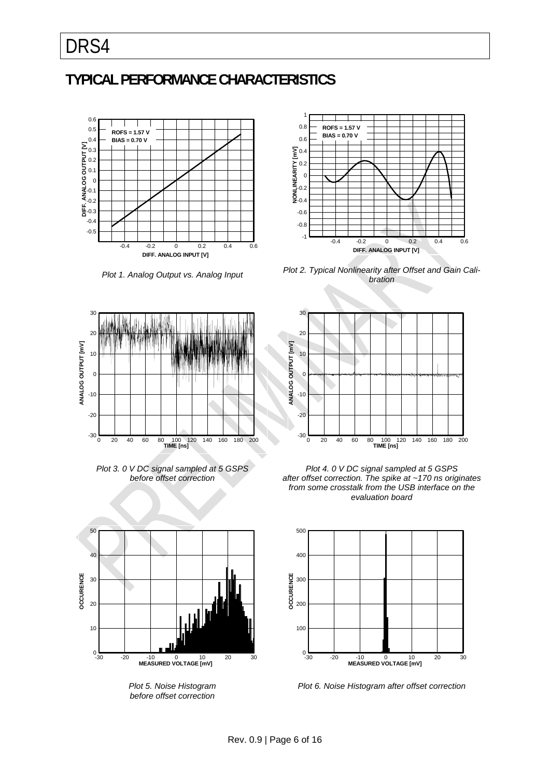### <span id="page-5-0"></span>**TYPICAL PERFORMANCE CHARACTERISTICS**



*Plot 1. Analog Output vs. Analog Input* 



*Plot 2. Typical Nonlinearity after Offset and Gain Calibration* 







*Plot 5. Noise Histogram before offset correction* 



*Plot 4. 0 V DC signal sampled at 5 GSPS after offset correction. The spike at ~170 ns originates from some crosstalk from the USB interface on the evaluation board* 



*Plot 6. Noise Histogram after offset correction*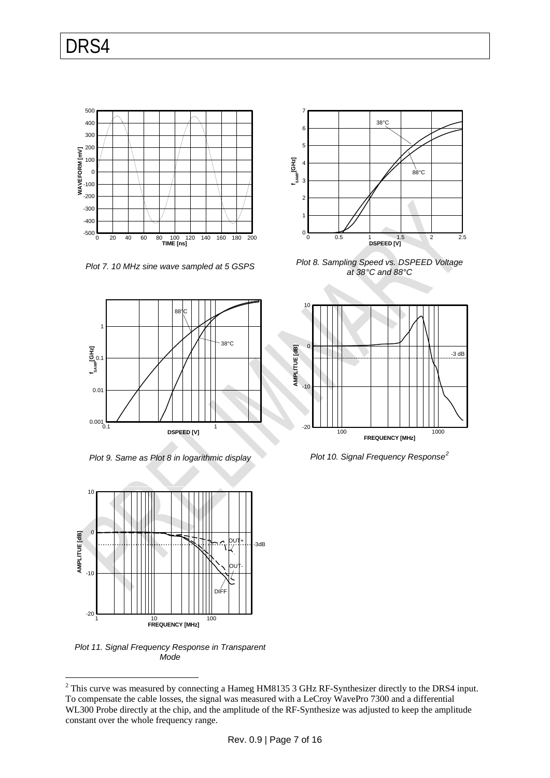

*Plot 7. 10 MHz sine wave sampled at 5 GSPS* 



*Plot 9. Same as Plot 8 in logarithmic display* 



*Plot 11. Signal Frequency Response in Transparent Mode* 

constant over the whole frequency range.

<span id="page-6-0"></span>1





*Plot 8. Sampling Speed vs. DSPEED Voltage at 38°C and 88°C* 



*Plot 10. Signal Frequency Response[2](#page-6-0)*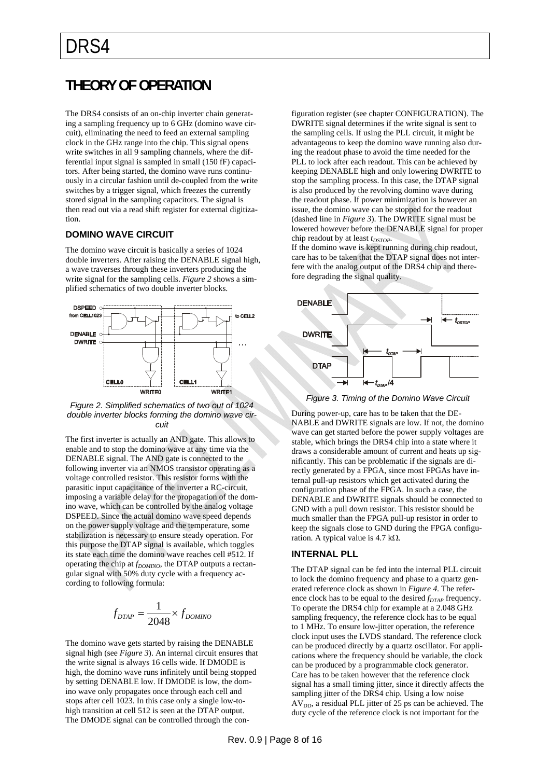### <span id="page-7-0"></span>**THEORY OF OPERATION**

The DRS4 consists of an on-chip inverter chain generating a sampling frequency up to 6 GHz (domino wave circuit), eliminating the need to feed an external sampling clock in the GHz range into the chip. This signal opens write switches in all 9 sampling channels, where the differential input signal is sampled in small (150 fF) capacitors. After being started, the domino wave runs continuously in a circular fashion until de-coupled from the write switches by a trigger signal, which freezes the currently stored signal in the sampling capacitors. The signal is then read out via a read shift register for external digitization.

#### <span id="page-7-1"></span>**DOMINO WAVE CIRCUIT**

The domino wave circuit is basically a series of 1024 double inverters. After raising the DENABLE signal high, a wave traverses through these inverters producing the write signal for the sampling cells. *[Figure 2](#page-7-3)* shows a simplified schematics of two double inverter blocks.



<span id="page-7-4"></span><span id="page-7-3"></span>*Figure 2. Simplified schematics of two out of 1024 double inverter blocks forming the domino wave circuit* 

The first inverter is actually an AND gate. This allows to enable and to stop the domino wave at any time via the DENABLE signal. The AND gate is connected to the following inverter via an NMOS transistor operating as a voltage controlled resistor. This resistor forms with the parasitic input capacitance of the inverter a RC-circuit, imposing a variable delay for the propagation of the domino wave, which can be controlled by the analog voltage DSPEED. Since the actual domino wave speed depends on the power supply voltage and the temperature, some stabilization is necessary to ensure steady operation. For this purpose the DTAP signal is available, which toggles its state each time the domino wave reaches cell #512. If operating the chip at  $f_{DOMINO}$ , the DTAP outputs a rectangular signal with 50% duty cycle with a frequency according to following formula:

$$
f_{DTAP} = \frac{1}{2048} \times f_{DOMINO}
$$

<span id="page-7-2"></span>The domino wave gets started by raising the DENABLE signal high (see *[Figure 3](#page-7-4)*). An internal circuit ensures that the write signal is always 16 cells wide. If DMODE is high, the domino wave runs infinitely until being stopped by setting DENABLE low. If DMODE is low, the domino wave only propagates once through each cell and stops after cell 1023. In this case only a single low-tohigh transition at cell 512 is seen at the DTAP output. The DMODE signal can be controlled through the configuration register (see chapter CONFIGURATION). The DWRITE signal determines if the write signal is sent to the sampling cells. If using the PLL circuit, it might be advantageous to keep the domino wave running also during the readout phase to avoid the time needed for the PLL to lock after each readout. This can be achieved by keeping DENABLE high and only lowering DWRITE to stop the sampling process. In this case, the DTAP signal is also produced by the revolving domino wave during the readout phase. If power minimization is however an issue, the domino wave can be stopped for the readout (dashed line in *[Figure 3](#page-7-4)*). The DWRITE signal must be lowered however before the DENABLE signal for proper chip readout by at least  $t_{DSTOP}$ .

If the domino wave is kept running during chip readout, care has to be taken that the DTAP signal does not interfere with the analog output of the DRS4 chip and therefore degrading the signal quality.



*Figure 3. Timing of the Domino Wave Circuit* 

During power-up, care has to be taken that the DE-NABLE and DWRITE signals are low. If not, the domino wave can get started before the power supply voltages are stable, which brings the DRS4 chip into a state where it draws a considerable amount of current and heats up significantly. This can be problematic if the signals are directly generated by a FPGA, since most FPGAs have internal pull-up resistors which get activated during the configuration phase of the FPGA. In such a case, the DENABLE and DWRITE signals should be connected to GND with a pull down resistor. This resistor should be much smaller than the FPGA pull-up resistor in order to keep the signals close to GND during the FPGA configuration. A typical value is 4.7 k $\Omega$ .

#### **INTERNAL PLL**

The DTAP signal can be fed into the internal PLL circuit to lock the domino frequency and phase to a quartz generated reference clock as shown in *[Figure 4](#page-8-2)*. The reference clock has to be equal to the desired *f<sub>DTAP</sub>* frequency. To operate the DRS4 chip for example at a 2.048 GHz sampling frequency, the reference clock has to be equal to 1 MHz. To ensure low-jitter operation, the reference clock input uses the LVDS standard. The reference clock can be produced directly by a quartz oscillator. For applications where the frequency should be variable, the clock can be produced by a programmable clock generator. Care has to be taken however that the reference clock signal has a small timing jitter, since it directly affects the sampling jitter of the DRS4 chip. Using a low noise  $AV<sub>DD</sub>$ , a residual PLL jitter of 25 ps can be achieved. The duty cycle of the reference clock is not important for the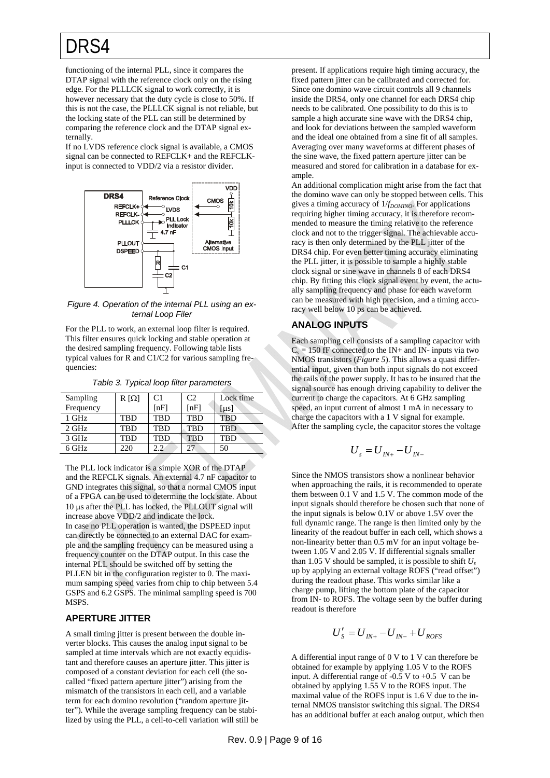functioning of the internal PLL, since it compares the DTAP signal with the reference clock only on the rising edge. For the PLLLCK signal to work correctly, it is however necessary that the duty cycle is close to 50%. If this is not the case, the PLLLCK signal is not reliable, but the locking state of the PLL can still be determined by comparing the reference clock and the DTAP signal externally.

If no LVDS reference clock signal is available, a CMOS signal can be connected to REFCLK+ and the REFCLKinput is connected to VDD/2 via a resistor divider.



<span id="page-8-2"></span>*Figure 4. Operation of the internal PLL using an external Loop Filer* 

<span id="page-8-1"></span>For the PLL to work, an external loop filter is required. This filter ensures quick locking and stable operation at the desired sampling frequency. Following table lists typical values for R and C1/C2 for various sampling frequencies:

*Table 3. Typical loop filter parameters* 

<span id="page-8-3"></span>

| Sampling  | $R[\Omega]$ | C <sub>1</sub> | C <sub>2</sub> | Lock time  |
|-----------|-------------|----------------|----------------|------------|
| Frequency |             | [nF]           | [nF]           | us         |
| 1 GHz     | TBD         | <b>TBD</b>     | <b>TBD</b>     | <b>TBD</b> |
| 2 GHz     | TRD         | <b>TRD</b>     | <b>TBD</b>     | <b>TRD</b> |
| 3 GHz     | <b>TBD</b>  | TBD            | <b>TBD</b>     | <b>TBD</b> |
| 6 GHz     | 220         | 22             | 27             | 50         |
|           |             |                |                |            |

The PLL lock indicator is a simple XOR of the DTAP and the REFCLK signals. An external 4.7 nF capacitor to GND integrates this signal, so that a normal CMOS input of a FPGA can be used to determine the lock state. About 10 us after the PLL has locked, the PLLOUT signal will increase above VDD/2 and indicate the lock. In case no PLL operation is wanted, the DSPEED input can directly be connected to an external DAC for example and the sampling frequency can be measured using a frequency counter on the DTAP output. In this case the internal PLL should be switched off by setting the PLLEN bit in the configuration register to 0. The maximum samping speed varies from chip to chip between 5.4 GSPS and 6.2 GSPS. The minimal sampling speed is 700 MSPS.

#### <span id="page-8-0"></span>**APERTURE JITTER**

A small timing jitter is present between the double inverter blocks. This causes the analog input signal to be sampled at time intervals which are not exactly equidistant and therefore causes an aperture jitter. This jitter is composed of a constant deviation for each cell (the socalled "fixed pattern aperture jitter") arising from the mismatch of the transistors in each cell, and a variable term for each domino revolution ("random aperture jitter"). While the average sampling frequency can be stabilized by using the PLL, a cell-to-cell variation will still be present. If applications require high timing accuracy, the fixed pattern jitter can be calibrated and corrected for. Since one domino wave circuit controls all 9 channels inside the DRS4, only one channel for each DRS4 chip needs to be calibrated. One possibility to do this is to sample a high accurate sine wave with the DRS4 chip, and look for deviations between the sampled waveform and the ideal one obtained from a sine fit of all samples. Averaging over many waveforms at different phases of the sine wave, the fixed pattern aperture jitter can be measured and stored for calibration in a database for example.

An additional complication might arise from the fact that the domino wave can only be stopped between cells. This gives a timing accuracy of  $1/f_{DOMINO}$ . For applications requiring higher timing accuracy, it is therefore recommended to measure the timing relative to the reference clock and not to the trigger signal. The achievable accuracy is then only determined by the PLL jitter of the DRS4 chip. For even better timing accuracy eliminating the PLL jitter, it is possible to sample a highly stable clock signal or sine wave in channels 8 of each DRS4 chip. By fitting this clock signal event by event, the actually sampling frequency and phase for each waveform can be measured with high precision, and a timing accuracy well below 10 ps can be achieved.

### **ANALOG INPUTS**

Each sampling cell consists of a sampling capacitor with  $C_s = 150$  fF connected to the IN+ and IN- inputs via two NMOS transistors (*[Figure 5](#page-9-4)*). This allows a quasi differential input, given than both input signals do not exceed the rails of the power supply. It has to be insured that the signal source has enough driving capability to deliver the current to charge the capacitors. At 6 GHz sampling speed, an input current of almost 1 mA in necessary to charge the capacitors with a 1 V signal for example. After the sampling cycle, the capacitor stores the voltage

$$
U_{s} = U_{I N+} - U_{I N-}
$$

Since the NMOS transistors show a nonlinear behavior when approaching the rails, it is recommended to operate them between 0.1 V and 1.5 V. The common mode of the input signals should therefore be chosen such that none of the input signals is below 0.1V or above 1.5V over the full dynamic range. The range is then limited only by the linearity of the readout buffer in each cell, which shows a non-linearity better than 0.5 mV for an input voltage between 1.05 V and 2.05 V. If differential signals smaller than 1.05 V should be sampled, it is possible to shift  $U_s$ up by applying an external voltage ROFS ("read offset") during the readout phase. This works similar like a charge pump, lifting the bottom plate of the capacitor from IN- to ROFS. The voltage seen by the buffer during readout is therefore

$$
U'_{S} = U_{I N +} - U_{I N -} + U_{ROFS}
$$

A differential input range of 0 V to 1 V can therefore be obtained for example by applying 1.05 V to the ROFS input. A differential range of  $-0.5$  V to  $+0.5$  V can be obtained by applying 1.55 V to the ROFS input. The maximal value of the ROFS input is 1.6 V due to the internal NMOS transistor switching this signal. The DRS4 has an additional buffer at each analog output, which then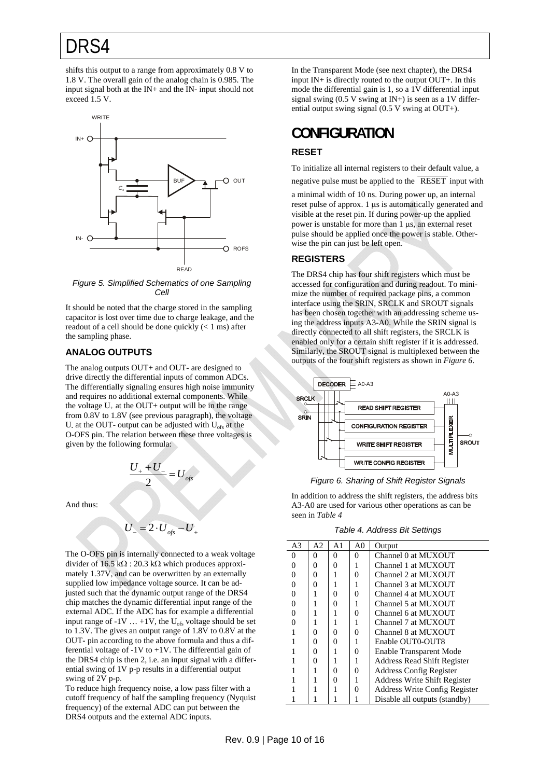shifts this output to a range from approximately 0.8 V to 1.8 V. The overall gain of the analog chain is 0.985. The input signal both at the IN+ and the IN- input should not exceed 1.5 V.

<span id="page-9-2"></span><span id="page-9-1"></span>

<span id="page-9-3"></span>*Figure 5. Simplified Schematics of one Sampling Cell* 

<span id="page-9-4"></span>It should be noted that the charge stored in the sampling capacitor is lost over time due to charge leakage, and the readout of a cell should be done quickly (< 1 ms) after the sampling phase.

#### <span id="page-9-0"></span>**ANALOG OUTPUTS**

The analog outputs OUT+ and OUT- are designed to drive directly the differential inputs of common ADCs. The differentially signaling ensures high noise immunity and requires no additional external components. While the voltage  $U_+$  at the OUT+ output will be in the range from 0.8V to 1.8V (see previous paragraph), the voltage U<sub>-</sub> at the OUT- output can be adjusted with  $U_{\text{ofs}}$  at the O-OFS pin. The relation between these three voltages is given by the following formula:

$$
\frac{U_{+}+U_{-}}{2}=U_{\text{obs}}
$$

<span id="page-9-5"></span>And thus:

$$
U_{-}=2\cdot U_{\text{obs}}-U_{+}
$$

<span id="page-9-6"></span>The O-OFS pin is internally connected to a weak voltage divider of 16.5 k $\Omega$ : 20.3 k $\Omega$  which produces approximately 1.37V, and can be overwritten by an externally supplied low impedance voltage source. It can be adjusted such that the dynamic output range of the DRS4 chip matches the dynamic differential input range of the external ADC. If the ADC has for example a differential input range of -1V  $\dots$  +1V, the U<sub>ofs</sub> voltage should be set to 1.3V. The gives an output range of 1.8V to 0.8V at the OUT- pin according to the above formula and thus a differential voltage of -1V to +1V. The differential gain of the DRS4 chip is then 2, i.e. an input signal with a differential swing of 1V p-p results in a differential output swing of 2V p-p.

To reduce high frequency noise, a low pass filter with a cutoff frequency of half the sampling frequency (Nyquist frequency) of the external ADC can put between the DRS4 outputs and the external ADC inputs.

In the Transparent Mode (see next chapter), the DRS4 input IN+ is directly routed to the output OUT+. In this mode the differential gain is 1, so a 1V differential input signal swing  $(0.5 V)$  swing at IN+) is seen as a 1V differential output swing signal (0.5 V swing at OUT+).

### **CONFIGURATION**

#### **RESET**

To initialize all internal registers to their default value, a

negative pulse must be applied to the RESET input with

a minimal width of 10 ns. During power up, an internal reset pulse of approx. 1  $\mu$ s is automatically generated and visible at the reset pin. If during power-up the applied power is unstable for more than  $1 \mu s$ , an external reset pulse should be applied once the power is stable. Otherwise the pin can just be left open.

#### **REGISTERS**

The DRS4 chip has four shift registers which must be accessed for configuration and during readout. To minimize the number of required package pins, a common interface using the SRIN, SRCLK and SROUT signals has been chosen together with an addressing scheme using the address inputs A3-A0. While the SRIN signal is directly connected to all shift registers, the SRCLK is enabled only for a certain shift register if it is addressed. Similarly, the SROUT signal is multiplexed between the outputs of the four shift registers as shown in *[Figure 6](#page-9-5)*.



*Figure 6. Sharing of Shift Register Signals* 

In addition to address the shift registers, the address bits A3-A0 are used for various other operations as can be seen in *[Table 4](#page-9-6)*

*Table 4. Address Bit Settings* 

| A3 | A2 | A1 | A0 | Output                             |
|----|----|----|----|------------------------------------|
| 0  | 0  | 0  | 0  | Channel 0 at MUXOUT                |
| 0  | 0  | 0  |    | Channel 1 at MUXOUT                |
| 0  | 0  |    | 0  | Channel 2 at MUXOUT                |
| 0  | 0  |    | 1  | Channel 3 at MUXOUT                |
| 0  |    | 0  | 0  | Channel 4 at MUXOUT                |
| 0  |    |    |    | Channel 5 at MUXOUT                |
| 0  |    |    | 0  | Channel 6 at MUXOUT                |
| 0  |    |    | 1  | Channel 7 at MUXOUT                |
|    | 0  | 0  | 0  | Channel 8 at MUXOUT                |
|    | 0  | O  | 1  | Enable OUT0-OUT8                   |
|    | 0  |    | 0  | <b>Enable Transparent Mode</b>     |
|    | 0  |    |    | <b>Address Read Shift Register</b> |
|    |    | 0  | 0  | <b>Address Config Register</b>     |
|    |    | 0  | 1  | Address Write Shift Register       |
|    |    |    | 0  | Address Write Config Register      |
|    |    |    |    | Disable all outputs (standby)      |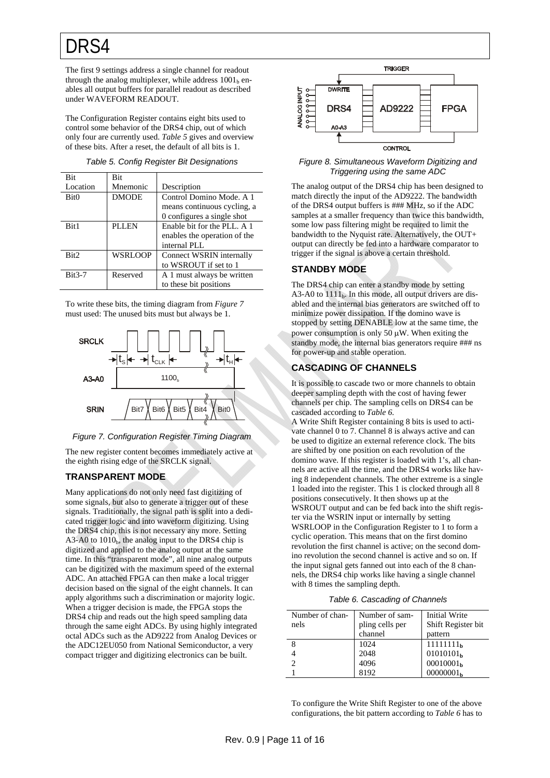The first 9 settings address a single channel for readout through the analog multiplexer, while address  $1001<sub>b</sub>$  enables all output buffers for parallel readout as described under WAVEFORM READOUT.

The Configuration Register contains eight bits used to control some behavior of the DRS4 chip, out of which only four are currently used. *[Table 5](#page-10-3)* gives and overview of these bits. After a reset, the default of all bits is 1.

<span id="page-10-3"></span>

| <b>Bit</b>       | <b>Bit</b>     |                              |
|------------------|----------------|------------------------------|
| Location         | Mnemonic       | Description                  |
| Bit <sub>0</sub> | <b>DMODE</b>   | Control Domino Mode, A 1     |
|                  |                | means continuous cycling, a  |
|                  |                | 0 configures a single shot   |
| Bit1             | <b>PLLEN</b>   | Enable bit for the PLL. A 1  |
|                  |                | enables the operation of the |
|                  |                | internal PLL                 |
| Bit <sub>2</sub> | <b>WSRLOOP</b> | Connect WSRIN internally     |
|                  |                | to WSROUT if set to 1        |
| $Bit3-7$         | Reserved       | A 1 must always be written   |
|                  |                | to these bit positions       |

<span id="page-10-1"></span>To write these bits, the timing diagram from *[Figure 7](#page-10-4)* must used: The unused bits must but always be 1.

<span id="page-10-2"></span>



<span id="page-10-4"></span>The new register content becomes immediately active at the eighth rising edge of the SRCLK signal.

#### <span id="page-10-0"></span>**TRANSPARENT MODE**

<span id="page-10-5"></span>Many applications do not only need fast digitizing of some signals, but also to generate a trigger out of these signals. Traditionally, the signal path is split into a dedicated trigger logic and into waveform digitizing. Using the DRS4 chip, this is not necessary any more. Setting  $A3-A0$  to  $1010<sub>b</sub>$ , the analog input to the DRS4 chip is digitized and applied to the analog output at the same time. In this "transparent mode", all nine analog outputs can be digitized with the maximum speed of the external ADC. An attached FPGA can then make a local trigger decision based on the signal of the eight channels. It can apply algorithms such a discrimination or majority logic. When a trigger decision is made, the FPGA stops the DRS4 chip and reads out the high speed sampling data through the same eight ADCs. By using highly integrated octal ADCs such as the AD9222 from Analog Devices or the ADC12EU050 from National Semiconductor, a very compact trigger and digitizing electronics can be built.



*Figure 8. Simultaneous Waveform Digitizing and Triggering using the same ADC* 

The analog output of the DRS4 chip has been designed to match directly the input of the AD9222. The bandwidth of the DRS4 output buffers is ### MHz, so if the ADC samples at a smaller frequency than twice this bandwidth, some low pass filtering might be required to limit the bandwidth to the Nyquist rate. Alternatively, the OUT+ output can directly be fed into a hardware comparator to trigger if the signal is above a certain threshold.

#### **STANDBY MODE**

The DRS4 chip can enter a standby mode by setting A3-A0 to  $1111<sub>b</sub>$ . In this mode, all output drivers are disabled and the internal bias generators are switched off to minimize power dissipation. If the domino wave is stopped by setting DENABLE low at the same time, the power consumption is only 50  $\mu$ W. When exiting the standby mode, the internal bias generators require ### ns for power-up and stable operation.

#### **CASCADING OF CHANNELS**

It is possible to cascade two or more channels to obtain deeper sampling depth with the cost of having fewer channels per chip. The sampling cells on DRS4 can be cascaded according to *[Table 6](#page-10-5)*.

A Write Shift Register containing 8 bits is used to activate channel 0 to 7. Channel 8 is always active and can be used to digitize an external reference clock. The bits are shifted by one position on each revolution of the domino wave. If this register is loaded with 1's, all channels are active all the time, and the DRS4 works like having 8 independent channels. The other extreme is a single 1 loaded into the register. This 1 is clocked through all 8 positions consecutively. It then shows up at the WSROUT output and can be fed back into the shift register via the WSRIN input or internally by setting WSRLOOP in the Configuration Register to 1 to form a cyclic operation. This means that on the first domino revolution the first channel is active; on the second domino revolution the second channel is active and so on. If the input signal gets fanned out into each of the 8 channels, the DRS4 chip works like having a single channel with 8 times the sampling depth.

|  |  | Table 6. Cascading of Channels |
|--|--|--------------------------------|
|--|--|--------------------------------|

| Number of chan- | Number of sam-  | <b>Initial Write</b>  |
|-----------------|-----------------|-----------------------|
| nels            | pling cells per | Shift Register bit    |
|                 | channel         | pattern               |
|                 | 1024            | 11111111 <sub>h</sub> |
|                 | 2048            | 01010101 <sub>h</sub> |
| $\mathcal{D}$   | 4096            | 00010001 <sub>h</sub> |
|                 | 8192            | 00000001 <sub>b</sub> |

To configure the Write Shift Register to one of the above configurations, the bit pattern according to *[Table 6](#page-10-5)* has to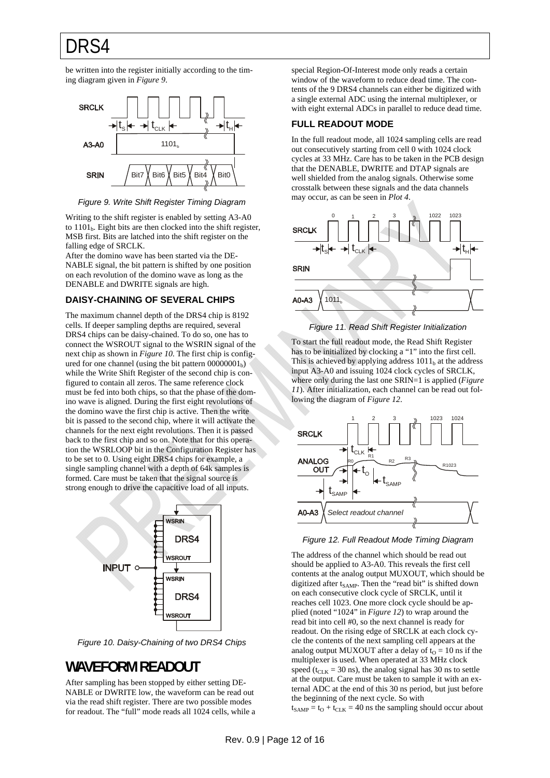be written into the register initially according to the timing diagram given in *[Figure 9](#page-11-3)*.

<span id="page-11-2"></span>

*Figure 9. Write Shift Register Timing Diagram* 

<span id="page-11-3"></span>Writing to the shift register is enabled by setting A3-A0 to 1101<sub>b</sub>. Eight bits are then clocked into the shift register, MSB first. Bits are latched into the shift register on the falling edge of SRCLK.

After the domino wave has been started via the DE-NABLE signal, the bit pattern is shifted by one position on each revolution of the domino wave as long as the DENABLE and DWRITE signals are high.

#### <span id="page-11-0"></span>**DAISY-CHAINING OF SEVERAL CHIPS**

<span id="page-11-5"></span>The maximum channel depth of the DRS4 chip is 8192 cells. If deeper sampling depths are required, several DRS4 chips can be daisy-chained. To do so, one has to connect the WSROUT signal to the WSRIN signal of the next chip as shown in *[Figure 10](#page-11-4)*. The first chip is configured for one channel (using the bit pattern  $00000001<sub>b</sub>$ ) while the Write Shift Register of the second chip is configured to contain all zeros. The same reference clock must be fed into both chips, so that the phase of the domino wave is aligned. During the first eight revolutions of the domino wave the first chip is active. Then the write bit is passed to the second chip, where it will activate the channels for the next eight revolutions. Then it is passed back to the first chip and so on. Note that for this operation the WSRLOOP bit in the Configuration Register has to be set to 0. Using eight DRS4 chips for example, a single sampling channel with a depth of 64k samples is formed. Care must be taken that the signal source is strong enough to drive the capacitive load of all inputs.

<span id="page-11-6"></span>

*Figure 10. Daisy-Chaining of two DRS4 Chips* 

### <span id="page-11-4"></span><span id="page-11-1"></span>**WAVEFORM READOUT**

After sampling has been stopped by either setting DE-NABLE or DWRITE low, the waveform can be read out via the read shift register. There are two possible modes for readout. The "full" mode reads all 1024 cells, while a special Region-Of-Interest mode only reads a certain window of the waveform to reduce dead time. The contents of the 9 DRS4 channels can either be digitized with a single external ADC using the internal multiplexer, or with eight external ADCs in parallel to reduce dead time.

### **FULL READOUT MODE**

In the full readout mode, all 1024 sampling cells are read out consecutively starting from cell 0 with 1024 clock cycles at 33 MHz. Care has to be taken in the PCB design that the DENABLE, DWRITE and DTAP signals are well shielded from the analog signals. Otherwise some crosstalk between these signals and the data channels may occur, as can be seen in *Plot 4*.



*Figure 11. Read Shift Register Initialization* 

To start the full readout mode, the Read Shift Register has to be initialized by clocking a "1" into the first cell. This is achieved by applying address  $1011<sub>b</sub>$  at the address input A3-A0 and issuing 1024 clock cycles of SRCLK, where only during the last one SRIN=1 is applied (*[Figure](#page-11-5)  [11](#page-11-5)*). After initialization, each channel can be read out following the diagram of *[Figure 12](#page-11-6)*.



*Figure 12. Full Readout Mode Timing Diagram* 

The address of the channel which should be read out should be applied to A3-A0. This reveals the first cell contents at the analog output MUXOUT, which should be digitized after  $t_{SAMP}$ . Then the "read bit" is shifted down on each consecutive clock cycle of SRCLK, until it reaches cell 1023. One more clock cycle should be applied (noted "1024" in *[Figure 12](#page-11-6)*) to wrap around the read bit into cell #0, so the next channel is ready for readout. On the rising edge of SRCLK at each clock cycle the contents of the next sampling cell appears at the analog output MUXOUT after a delay of  $t_0 = 10$  ns if the multiplexer is used. When operated at 33 MHz clock speed ( $t_{CLK}$  = 30 ns), the analog signal has 30 ns to settle at the output. Care must be taken to sample it with an external ADC at the end of this 30 ns period, but just before the beginning of the next cycle. So with  $t_{SAMP} = t_O + t_{CLK} = 40$  ns the sampling should occur about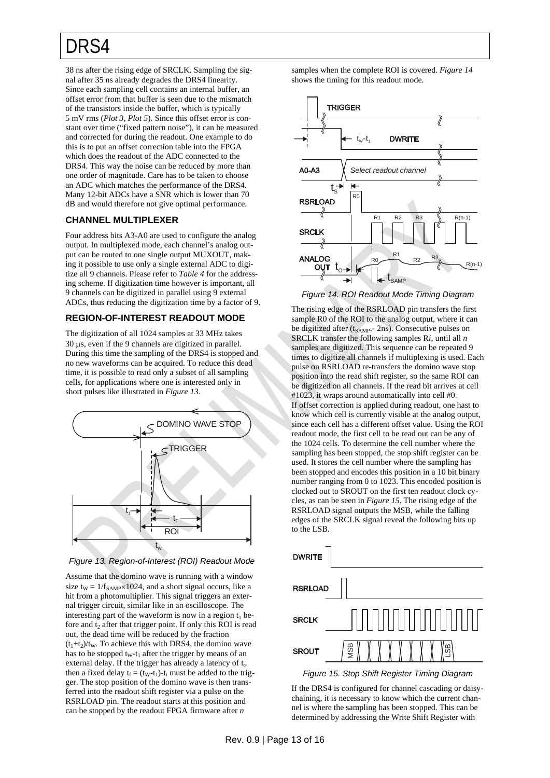38 ns after the rising edge of SRCLK. Sampling the signal after 35 ns already degrades the DRS4 linearity. Since each sampling cell contains an internal buffer, an offset error from that buffer is seen due to the mismatch of the transistors inside the buffer, which is typically 5 mV rms (*Plot 3, Plot 5*). Since this offset error is constant over time ("fixed pattern noise"), it can be measured and corrected for during the readout. One example to do this is to put an offset correction table into the FPGA which does the readout of the ADC connected to the DRS4. This way the noise can be reduced by more than one order of magnitude. Care has to be taken to choose an ADC which matches the performance of the DRS4. Many 12-bit ADCs have a SNR which is lower than 70 dB and would therefore not give optimal performance.

#### <span id="page-12-0"></span>**CHANNEL MULTIPLEXER**

Four address bits A3-A0 are used to configure the analog output. In multiplexed mode, each channel's analog output can be routed to one single output MUXOUT, making it possible to use only a single external ADC to digitize all 9 channels. Please refer to *[Table 4](#page-9-6)* for the addressing scheme. If digitization time however is important, all 9 channels can be digitized in parallel using 9 external ADCs, thus reducing the digitization time by a factor of 9.

#### <span id="page-12-3"></span><span id="page-12-1"></span>**REGION-OF-INTEREST READOUT MODE**

The digitization of all 1024 samples at 33 MHz takes  $30 \mu s$ , even if the 9 channels are digitized in parallel. During this time the sampling of the DRS4 is stopped and no new waveforms can be acquired. To reduce this dead time, it is possible to read only a subset of all sampling cells, for applications where one is interested only in short pulses like illustrated in *[Figure 13](#page-12-2)*.



*Figure 13. Region-of-Interest (ROI) Readout Mode* 

<span id="page-12-4"></span><span id="page-12-2"></span>Assume that the domino wave is running with a window size  $t_W = 1/f_{SAMP} \times 1024$ , and a short signal occurs, like a hit from a photomultiplier. This signal triggers an external trigger circuit, similar like in an oscilloscope. The interesting part of the waveform is now in a region  $t_1$  before and  $t<sub>2</sub>$  after that trigger point. If only this ROI is read out, the dead time will be reduced by the fraction  $(t_1+t_2)/t_W$ . To achieve this with DRS4, the domino wave has to be stopped  $t_{w}$ - $t_1$  after the trigger by means of an external delay. If the trigger has already a latency of  $t_t$ , then a fixed delay  $t_f = (t_W - t_1) - t_f$  must be added to the trigger. The stop position of the domino wave is then transferred into the readout shift register via a pulse on the RSRLOAD pin. The readout starts at this position and can be stopped by the readout FPGA firmware after *n*

samples when the complete ROI is covered. *[Figure 14](#page-12-3)* shows the timing for this readout mode.



*Figure 14. ROI Readout Mode Timing Diagram* 

The rising edge of the RSRLOAD pin transfers the first sample R0 of the ROI to the analog output, where it can be digitized after (t<sub>SAMP</sub>.- 2ns). Consecutive pulses on SRCLK transfer the following samples R*i*, until all *n* samples are digitized. This sequence can be repeated 9 times to digitize all channels if multiplexing is used. Each pulse on RSRLOAD re-transfers the domino wave stop position into the read shift register, so the same ROI can be digitized on all channels. If the read bit arrives at cell #1023, it wraps around automatically into cell #0. If offset correction is applied during readout, one hast to know which cell is currently visible at the analog output, since each cell has a different offset value. Using the ROI readout mode, the first cell to be read out can be any of the 1024 cells. To determine the cell number where the sampling has been stopped, the stop shift register can be used. It stores the cell number where the sampling has been stopped and encodes this position in a 10 bit binary number ranging from 0 to 1023. This encoded position is clocked out to SROUT on the first ten readout clock cycles, as can be seen in *[Figure 15](#page-12-4)*. The rising edge of the RSRLOAD signal outputs the MSB, while the falling edges of the SRCLK signal reveal the following bits up to the LSB.



If the DRS4 is configured for channel cascading or daisychaining, it is necessary to know which the current channel is where the sampling has been stopped. This can be determined by addressing the Write Shift Register with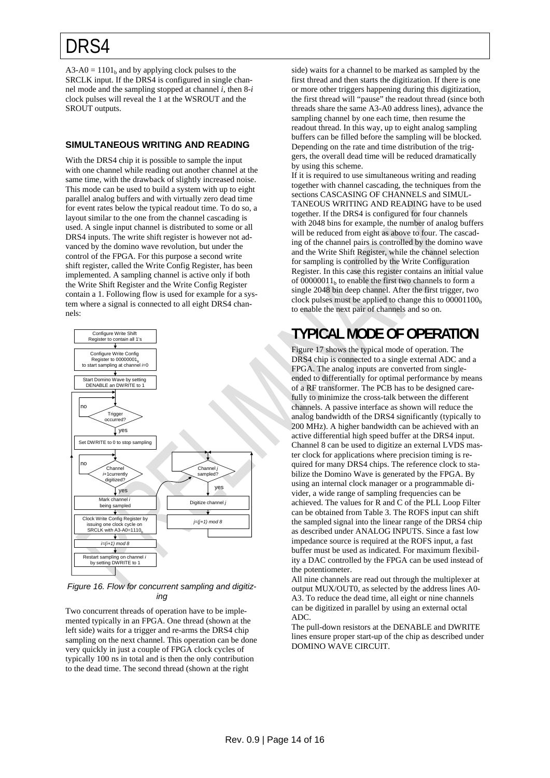$A3-A0 = 1101<sub>b</sub>$  and by applying clock pulses to the SRCLK input. If the DRS4 is configured in single channel mode and the sampling stopped at channel *i*, then 8-*i* clock pulses will reveal the 1 at the WSROUT and the SROUT outputs.

### <span id="page-13-0"></span>**SIMULTANEOUS WRITING AND READING**

With the DRS4 chip it is possible to sample the input with one channel while reading out another channel at the same time, with the drawback of slightly increased noise. This mode can be used to build a system with up to eight parallel analog buffers and with virtually zero dead time for event rates below the typical readout time. To do so, a layout similar to the one from the channel cascading is used. A single input channel is distributed to some or all DRS4 inputs. The write shift register is however not advanced by the domino wave revolution, but under the control of the FPGA. For this purpose a second write shift register, called the Write Config Register, has been implemented. A sampling channel is active only if both the Write Shift Register and the Write Config Register contain a 1. Following flow is used for example for a system where a signal is connected to all eight DRS4 channels:

<span id="page-13-1"></span>

#### *Figure 16. Flow for concurrent sampling and digitizing*

Two concurrent threads of operation have to be implemented typically in an FPGA. One thread (shown at the left side) waits for a trigger and re-arms the DRS4 chip sampling on the next channel. This operation can be done very quickly in just a couple of FPGA clock cycles of typically 100 ns in total and is then the only contribution to the dead time. The second thread (shown at the right

side) waits for a channel to be marked as sampled by the first thread and then starts the digitization. If there is one or more other triggers happening during this digitization, the first thread will "pause" the readout thread (since both threads share the same A3-A0 address lines), advance the sampling channel by one each time, then resume the readout thread. In this way, up to eight analog sampling buffers can be filled before the sampling will be blocked. Depending on the rate and time distribution of the triggers, the overall dead time will be reduced dramatically by using this scheme.

If it is required to use simultaneous writing and reading together with channel cascading, the techniques from the sections CASCASING OF CHANNELS and SIMUL-TANEOUS WRITING AND READING have to be used together. If the DRS4 is configured for four channels with 2048 bins for example, the number of analog buffers will be reduced from eight as above to four. The cascading of the channel pairs is controlled by the domino wave and the Write Shift Register, while the channel selection for sampling is controlled by the Write Configuration Register. In this case this register contains an initial value of  $00000011<sub>b</sub>$  to enable the first two channels to form a single 2048 bin deep channel. After the first trigger, two clock pulses must be applied to change this to  $00001100<sub>b</sub>$ to enable the next pair of channels and so on.

### **TYPICAL MODE OF OPERATION**

[Figure 17](#page-14-0) shows the typical mode of operation. The DRS4 chip is connected to a single external ADC and a FPGA. The analog inputs are converted from singleended to differentially for optimal performance by means of a RF transformer. The PCB has to be designed carefully to minimize the cross-talk between the different channels. A passive interface as shown will reduce the analog bandwidth of the DRS4 significantly (typically to 200 MHz). A higher bandwidth can be achieved with an active differential high speed buffer at the DRS4 input. Channel 8 can be used to digitize an external LVDS master clock for applications where precision timing is required for many DRS4 chips. The reference clock to stabilize the Domino Wave is generated by the FPGA. By using an internal clock manager or a programmable divider, a wide range of sampling frequencies can be achieved. The values for R and C of the PLL Loop Filter can be obtained from [Table 3](#page-8-3). The ROFS input can shift the sampled signal into the linear range of the DRS4 chip as described under ANALOG INPUTS. Since a fast low impedance source is required at the ROFS input, a fast buffer must be used as indicated. For maximum flexibility a DAC controlled by the FPGA can be used instead of the potentiometer.

All nine channels are read out through the multiplexer at output MUX/OUT0, as selected by the address lines A0- A3. To reduce the dead time, all eight or nine channels can be digitized in parallel by using an external octal ADC.

The pull-down resistors at the DENABLE and DWRITE lines ensure proper start-up of the chip as described under DOMINO WAVE CIRCUIT.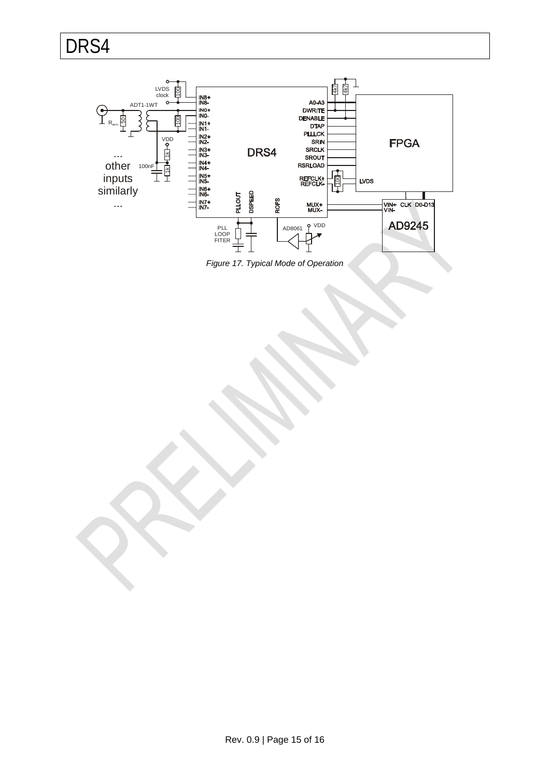

<span id="page-14-0"></span>*Figure 17. Typical Mode of Operation*